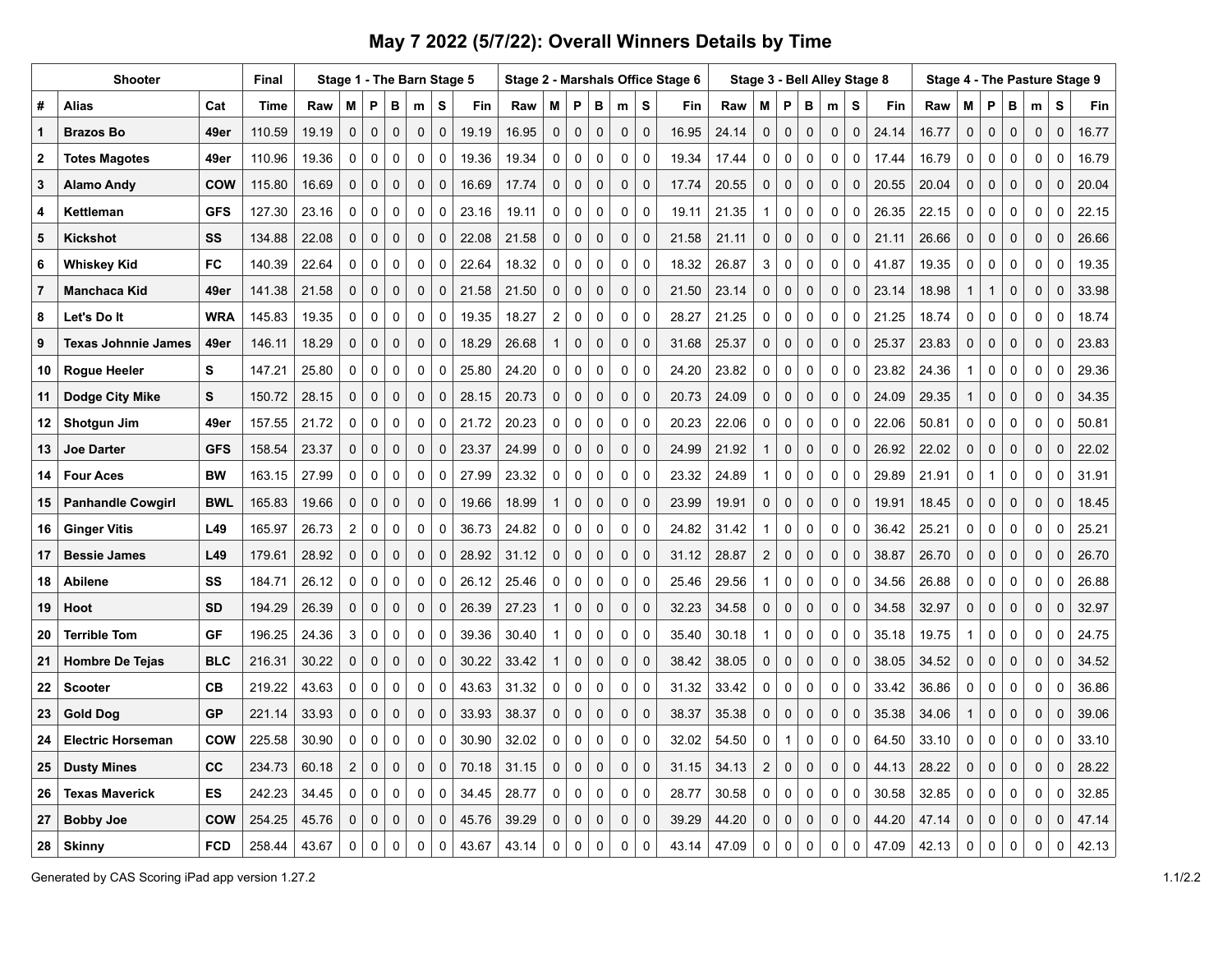## **May 7 2022 (5/7/22): Overall Winners Details by Time**

|                | <b>Shooter</b>           |            | Final       |       | Stage 1 - The Barn Stage 5 |              |              |             |             |       |       |                     |             |             |                     |              | Stage 2 - Marshals Office Stage 6 |       | Stage 3 - Bell Alley Stage 8 |              |              |             |             |       | Stage 4 - The Pasture Stage 9 |              |              |              |              |             |       |
|----------------|--------------------------|------------|-------------|-------|----------------------------|--------------|--------------|-------------|-------------|-------|-------|---------------------|-------------|-------------|---------------------|--------------|-----------------------------------|-------|------------------------------|--------------|--------------|-------------|-------------|-------|-------------------------------|--------------|--------------|--------------|--------------|-------------|-------|
| #              | Alias                    | Cat        | <b>Time</b> | Raw   | M                          | P            | B            | m           | S           | Fin   | Raw   | м                   | P           | В           | m                   | S            | Fin                               | Raw   | M                            | P            | B            | m           | S           | Fin   | Raw                           | M            | P            | В            | m            | s           | Fin   |
| 1              | <b>Brazos Bo</b>         | 49er       | 110.59      | 19.19 | $\pmb{0}$                  | $\mathsf 0$  | $\mathbf 0$  | $\pmb{0}$   | 0           | 19.19 | 16.95 | $\mathbf 0$         | $\mathsf 0$ | $\mathbf 0$ | 0                   | $\mathsf 0$  | 16.95                             | 24.14 | 0                            | $\pmb{0}$    | $\mathbf 0$  | 0           | $\mathbf 0$ | 24.14 | 16.77                         | $\mathbf 0$  | $\pmb{0}$    | $\pmb{0}$    | $\mathbf 0$  | $\mathbf 0$ | 16.77 |
| $\overline{2}$ | <b>Totes Magotes</b>     | 49er       | 110.96      | 19.36 | $\mathbf 0$                | $\Omega$     | 0            | $\Omega$    | $\Omega$    | 19.36 | 19.34 | $\Omega$            | $\Omega$    | $\mathbf 0$ | 0                   | $\mathbf{0}$ | 19.34                             | 17.44 | $\mathbf 0$                  | $\Omega$     | $\mathbf 0$  | 0           | $\Omega$    | 17.44 | 16.79                         | $\Omega$     | $\Omega$     | $\mathbf 0$  | 0            | 0           | 16.79 |
| 3              | Alamo Andy               | <b>COW</b> | 115.80      | 16.69 | 0                          | $\mathbf 0$  | $\mathbf 0$  | $\mathbf 0$ | $\mathbf 0$ | 16.69 | 17.74 | $\mathsf{O}\xspace$ | $\mathbf 0$ | $\mathbf 0$ | $\mathsf{O}\xspace$ | $\mathbf 0$  | 17.74                             | 20.55 | $\mathbf 0$                  | $\mathbf 0$  | $\mathbf 0$  | 0           | $\Omega$    | 20.55 | 20.04                         | $\mathbf 0$  | $\pmb{0}$    | $\mathbf 0$  | 0            | $\mathbf 0$ | 20.04 |
| 4              | Kettleman                | <b>GFS</b> | 127.30      | 23.16 | 0                          | 0            | 0            | 0           | $\Omega$    | 23.16 | 19.11 | $\mathbf 0$         | 0           | $\mathbf 0$ | 0                   | $\mathbf 0$  | 19.11                             | 21.35 |                              | $\mathbf 0$  | $\mathbf 0$  | 0           | $\Omega$    | 26.35 | 22.15                         | 0            | $\mathbf 0$  | $\mathbf 0$  | 0            | 0           | 22.15 |
| 5              | Kickshot                 | SS         | 134.88      | 22.08 | $\mathbf 0$                | 0            | $\mathbf 0$  | $\mathbf 0$ | $\mathbf 0$ | 22.08 | 21.58 | $\mathbf 0$         | $\pmb{0}$   | $\mathbf 0$ | 0                   | $\mathbf 0$  | 21.58                             | 21.11 | $\mathbf 0$                  | $\mathbf 0$  | $\mathbf 0$  | $\mathbf 0$ | $\mathbf 0$ | 21.11 | 26.66                         | $\mathbf 0$  | $\mathsf 0$  | $\mathbf 0$  | 0            | $\mathbf 0$ | 26.66 |
| 6              | Whiskey Kid              | <b>FC</b>  | 140.39      | 22.64 | 0                          | $\mathbf{0}$ | $\mathbf 0$  | $\Omega$    | $\Omega$    | 22.64 | 18.32 | $\Omega$            | $\Omega$    | $\mathbf 0$ | $\Omega$            | $\mathbf{0}$ | 18.32                             | 26.87 | 3                            | $\mathbf 0$  | $\mathbf 0$  | $\Omega$    | $\Omega$    | 41.87 | 19.35                         | $\mathbf{0}$ | $\Omega$     | $\mathbf{0}$ | $\Omega$     | $\mathbf 0$ | 19.35 |
| $\overline{7}$ | Manchaca Kid             | 49er       | 141.38      | 21.58 | $\mathbf 0$                | $\mathbf 0$  | $\mathbf 0$  | $\mathbf 0$ | $\mathbf 0$ | 21.58 | 21.50 | $\mathbf 0$         | $\mathbf 0$ | $\mathbf 0$ | $\mathbf 0$         | $\mathbf 0$  | 21.50                             | 23.14 | $\mathbf 0$                  | 0            | $\mathbf 0$  | $\mathbf 0$ | $\mathbf 0$ | 23.14 | 18.98                         | $\mathbf 1$  | $\mathbf{1}$ | $\mathbf 0$  | 0            | $\mathbf 0$ | 33.98 |
| 8              | Let's Do It              | <b>WRA</b> | 145.83      | 19.35 | 0                          | 0            | $\mathbf 0$  | $\Omega$    | $\mathbf 0$ | 19.35 | 18.27 | $\boldsymbol{2}$    | 0           | $\mathbf 0$ | 0                   | $\Omega$     | 28.27                             | 21.25 | $\mathbf 0$                  | $\mathbf 0$  | $\mathbf 0$  | $\Omega$    | $\Omega$    | 21.25 | 18.74                         | $\mathbf{0}$ | $\mathbf 0$  | $\mathbf 0$  | $\mathbf 0$  | $\mathbf 0$ | 18.74 |
| 9              | Texas Johnnie James      | 49er       | 146.11      | 18.29 | $\mathbf 0$                | $\mathbf 0$  | $\mathbf 0$  | $\mathbf 0$ | $\mathbf 0$ | 18.29 | 26.68 | $\mathbf{1}$        | $\mathbf 0$ | $\mathbf 0$ | $\mathbf 0$         | $\mathbf 0$  | 31.68                             | 25.37 | $\mathbf 0$                  | $\mathbf 0$  | $\mathbf 0$  | $\mathbf 0$ | $\mathbf 0$ | 25.37 | 23.83                         | $\mathbf 0$  | $\mathsf 0$  | $\mathbf 0$  | 0            | $\mathbf 0$ | 23.83 |
| 10             | Rogue Heeler             | S          | 147.21      | 25.80 | $\mathbf 0$                | 0            | 0            | 0           | $\mathbf 0$ | 25.80 | 24.20 | $\mathbf 0$         | 0           | $\mathbf 0$ | $\mathbf 0$         | $\Omega$     | 24.20                             | 23.82 | $\mathbf 0$                  | 0            | $\mathbf 0$  | 0           | $\Omega$    | 23.82 | 24.36                         | 1            | $\mathbf 0$  | $\mathbf 0$  | $\mathbf 0$  | 0           | 29.36 |
| 11             | Dodge City Mike          | S          | 150.72      | 28.15 | $\mathbf 0$                | $\mathbf 0$  | $\mathbf 0$  | $\mathbf 0$ | $\mathbf 0$ | 28.15 | 20.73 | $\mathbf 0$         | $\mathbf 0$ | $\mathbf 0$ | $\mathbf 0$         | $\mathbf 0$  | 20.73                             | 24.09 | $\mathbf 0$                  | $\mathbf 0$  | $\mathbf 0$  | 0           | $\mathbf 0$ | 24.09 | 29.35                         | $\mathbf{1}$ | $\mathbf 0$  | $\mathbf 0$  | $\mathbf{0}$ | $\mathbf 0$ | 34.35 |
| 12             | <b>Shotgun Jim</b>       | 49er       | 157.55      | 21.72 | 0                          | 0            | 0            | 0           | $\Omega$    | 21.72 | 20.23 | 0                   | $\pmb{0}$   | $\pmb{0}$   | $\mathbf 0$         | $\mathbf 0$  | 20.23                             | 22.06 | 0                            | 0            | 0            | 0           | $\Omega$    | 22.06 | 50.81                         | $\Omega$     | $\pmb{0}$    | $\mathbf 0$  | 0            | 0           | 50.81 |
| 13             | <b>Joe Darter</b>        | <b>GFS</b> | 158.54      | 23.37 | $\mathbf 0$                | $\mathbf 0$  | $\mathbf 0$  | $\mathbf 0$ | $\mathbf 0$ | 23.37 | 24.99 | $\mathbf{0}$        | $\mathbf 0$ | $\mathbf 0$ | 0                   | $\mathbf 0$  | 24.99                             | 21.92 | -1                           | $\mathbf 0$  | $\mathbf 0$  | $\mathbf 0$ | $\mathbf 0$ | 26.92 | 22.02                         | $\mathbf 0$  | $\mathsf 0$  | $\mathbf 0$  | 0            | $\mathbf 0$ | 22.02 |
| 14             | <b>Four Aces</b>         | <b>BW</b>  | 163.15      | 27.99 | 0                          | 0            | 0            | 0           | 0           | 27.99 | 23.32 | 0                   | 0           | 0           | 0                   | $\mathbf 0$  | 23.32                             | 24.89 | -1                           | 0            | 0            | $\mathbf 0$ | 0           | 29.89 | 21.91                         | 0            | $\mathbf{1}$ | $\mathbf 0$  | 0            | 0           | 31.91 |
| 15             | <b>Panhandle Cowgirl</b> | <b>BWL</b> | 165.83      | 19.66 | 0                          | $\mathbf 0$  | $\mathbf 0$  | $\mathbf 0$ | $\mathbf 0$ | 19.66 | 18.99 | $\mathbf{1}$        | $\mathbf 0$ | $\mathbf 0$ | $\mathbf 0$         | $\Omega$     | 23.99                             | 19.91 | $\mathbf 0$                  | $\mathbf 0$  | $\mathbf 0$  | 0           | $\mathbf 0$ | 19.91 | 18.45                         | $\Omega$     | $\mathbf 0$  | $\mathbf 0$  | $\mathbf{0}$ | $\mathbf 0$ | 18.45 |
| 16             | <b>Ginger Vitis</b>      | L49        | 165.97      | 26.73 | $\overline{\mathbf{c}}$    | 0            | 0            | 0           | 0           | 36.73 | 24.82 | 0                   | $\pmb{0}$   | $\mathbf 0$ | $\mathbf 0$         | $\mathbf 0$  | 24.82                             | 31.42 |                              | 0            | 0            | 0           | 0           | 36.42 | 25.21                         | 0            | $\pmb{0}$    | $\mathbf 0$  | 0            | 0           | 25.21 |
| 17             | <b>Bessie James</b>      | L49        | 179.61      | 28.92 | $\mathbf 0$                | $\mathbf 0$  | $\mathbf 0$  | $\mathbf 0$ | $\Omega$    | 28.92 | 31.12 | $\mathbf 0$         | $\mathbf 0$ | $\mathbf 0$ | $\mathbf 0$         | $\mathbf{0}$ | 31.12                             | 28.87 | $\overline{2}$               | $\mathbf 0$  | $\mathbf 0$  | $\mathbf 0$ | $\mathbf 0$ | 38.87 | 26.70                         | $\mathbf 0$  | $\mathbf 0$  | $\mathbf 0$  | $\mathbf{0}$ | $\mathbf 0$ | 26.70 |
| 18             | <b>Abilene</b>           | SS         | 184.71      | 26.12 | 0                          | 0            | 0            | 0           | 0           | 26.12 | 25.46 | 0                   | $\mathbf 0$ | 0           | $\mathbf 0$         | $\mathbf 0$  | 25.46                             | 29.56 | -1                           | 0            | 0            | $\mathbf 0$ | 0           | 34.56 | 26.88                         | 0            | $\pmb{0}$    | $\pmb{0}$    | 0            | 0           | 26.88 |
| 19             | Hoot                     | <b>SD</b>  | 194.29      | 26.39 | $\mathbf 0$                | $\Omega$     | $\mathbf 0$  | $\Omega$    | $\Omega$    | 26.39 | 27.23 | $\mathbf{1}$        | $\mathbf 0$ | $\mathbf 0$ | $\mathbf 0$         | $\mathbf{0}$ | 32.23                             | 34.58 | $\Omega$                     | $\mathbf 0$  | $\Omega$     | $\Omega$    | $\Omega$    | 34.58 | 32.97                         | $\Omega$     | $\mathbf 0$  | $\mathbf 0$  | $\mathbf{0}$ | $\Omega$    | 32.97 |
| 20             | <b>Terrible Tom</b>      | GF         | 196.25      | 24.36 | 3                          | 0            | 0            | 0           | 0           | 39.36 | 30.40 | $\mathbf{1}$        | $\mathbf 0$ | $\mathbf 0$ | 0                   | $\mathbf 0$  | 35.40                             | 30.18 | -1                           | 0            | 0            | 0           | 0           | 35.18 | 19.75                         | $\mathbf 1$  | 0            | $\mathbf 0$  | 0            | 0           | 24.75 |
| 21             | <b>Hombre De Tejas</b>   | <b>BLC</b> | 216.31      | 30.22 | $\mathbf 0$                | $\mathbf 0$  | $\mathbf 0$  | $\mathbf 0$ | $\Omega$    | 30.22 | 33.42 | $\mathbf{1}$        | $\mathbf 0$ | $\mathbf 0$ | $\mathbf 0$         | $\mathbf{0}$ | 38.42                             | 38.05 | $\Omega$                     | $\mathbf{0}$ | $\mathbf{0}$ | $\Omega$    | $\Omega$    | 38.05 | 34.52                         | $\Omega$     | $\mathbf 0$  | $\mathbf 0$  | $\mathbf 0$  | $\Omega$    | 34.52 |
| 22             | <b>Scooter</b>           | <b>CB</b>  | 219.22      | 43.63 | 0                          | 0            | 0            | 0           | 0           | 43.63 | 31.32 | $\mathbf 0$         | $\mathbf 0$ | $\pmb{0}$   | 0                   | $\mathbf 0$  | 31.32                             | 33.42 | $\mathbf 0$                  | 0            | $\mathbf 0$  | 0           | 0           | 33.42 | 36.86                         | $\mathbf 0$  | $\mathbf 0$  | $\mathbf 0$  | $\mathbf 0$  | 0           | 36.86 |
| 23             | Gold Dog                 | <b>GP</b>  | 221.14      | 33.93 | $\mathbf 0$                | $\mathbf{0}$ | $\mathbf 0$  | $\Omega$    | $\Omega$    | 33.93 | 38.37 | $\mathbf 0$         | $\pmb{0}$   | $\mathbf 0$ | $\Omega$            | $\mathbf{0}$ | 38.37                             | 35.38 | $\Omega$                     | $\mathbf{0}$ | $\Omega$     | $\Omega$    | $\Omega$    | 35.38 | 34.06                         | 1            | $\pmb{0}$    | $\mathbf 0$  | $\mathbf 0$  | $\Omega$    | 39.06 |
| 24             | <b>Electric Horseman</b> | <b>COW</b> | 225.58      | 30.90 | 0                          | 0            | 0            | 0           | 0           | 30.90 | 32.02 | $\mathbf 0$         | 0           | $\mathbf 0$ | 0                   | $\mathbf 0$  | 32.02                             | 54.50 | $\Omega$                     | 1            | $\Omega$     | 0           | 0           | 64.50 | 33.10                         | $\Omega$     | $\mathbf 0$  | $\mathbf 0$  | 0            | 0           | 33.10 |
| 25             | Dusty Mines              | cc         | 234.73      | 60.18 | $\overline{2}$             | $\mathbf{0}$ | $\mathbf{0}$ | $\Omega$    | $\Omega$    | 70.18 | 31.15 | $\Omega$            | $\Omega$    | $\mathbf 0$ | $\Omega$            | $\mathbf{0}$ | 31.15                             | 34.13 | $\overline{2}$               | $\mathbf{0}$ | $\mathbf{0}$ | $\Omega$    | $\Omega$    | 44.13 | 28.22                         | $\Omega$     | $\Omega$     | $\Omega$     | $\mathbf 0$  | $\Omega$    | 28.22 |
| 26             | <b>Texas Maverick</b>    | ES         | 242.23      | 34.45 | 0                          | 0            | 0            | 0           | 0           | 34.45 | 28.77 | $\mathbf 0$         | $\mathbf 0$ | $\mathbf 0$ | 0                   | $\mathbf 0$  | 28.77                             | 30.58 | $\mathbf 0$                  | 0            | $\mathbf 0$  | 0           | $\mathbf 0$ | 30.58 | 32.85                         | $\Omega$     | $\mathbf 0$  | $\mathbf 0$  | $\mathbf 0$  | 0           | 32.85 |
| 27             | Bobby Joe                | COW        | 254.25      | 45.76 | $\mathbf 0$                | $\mathbf 0$  | $\mathbf 0$  | $\Omega$    | $\Omega$    | 45.76 | 39.29 | $\mathbf 0$         | $\mathbf 0$ | $\mathbf 0$ | $\mathbf 0$         | $\mathbf 0$  | 39.29                             | 44.20 | $\Omega$                     | $\mathbf 0$  | $\mathbf 0$  | $\Omega$    | 0           | 44.20 | 47.14                         | $\Omega$     | $\mathbf 0$  | $\mathbf 0$  | $\mathbf{0}$ | $\mathbf 0$ | 47.14 |
| 28             | <b>Skinny</b>            | <b>FCD</b> | 258.44      | 43.67 | $\mathbf 0$                | $\Omega$     | $\Omega$     | $\Omega$    | O           | 43.67 | 43.14 | $\Omega$            | $\Omega$    | $\Omega$    | $\Omega$            | $\Omega$     | 43.14                             | 47.09 | $\Omega$                     | $\Omega$     | $\Omega$     | $\Omega$    | $\Omega$    | 47.09 | 42.13                         | $\Omega$     | $\Omega$     | $\Omega$     | $\Omega$     | $\mathbf 0$ | 42.13 |

Generated by CAS Scoring iPad app version 1.27.2 1.1/2.2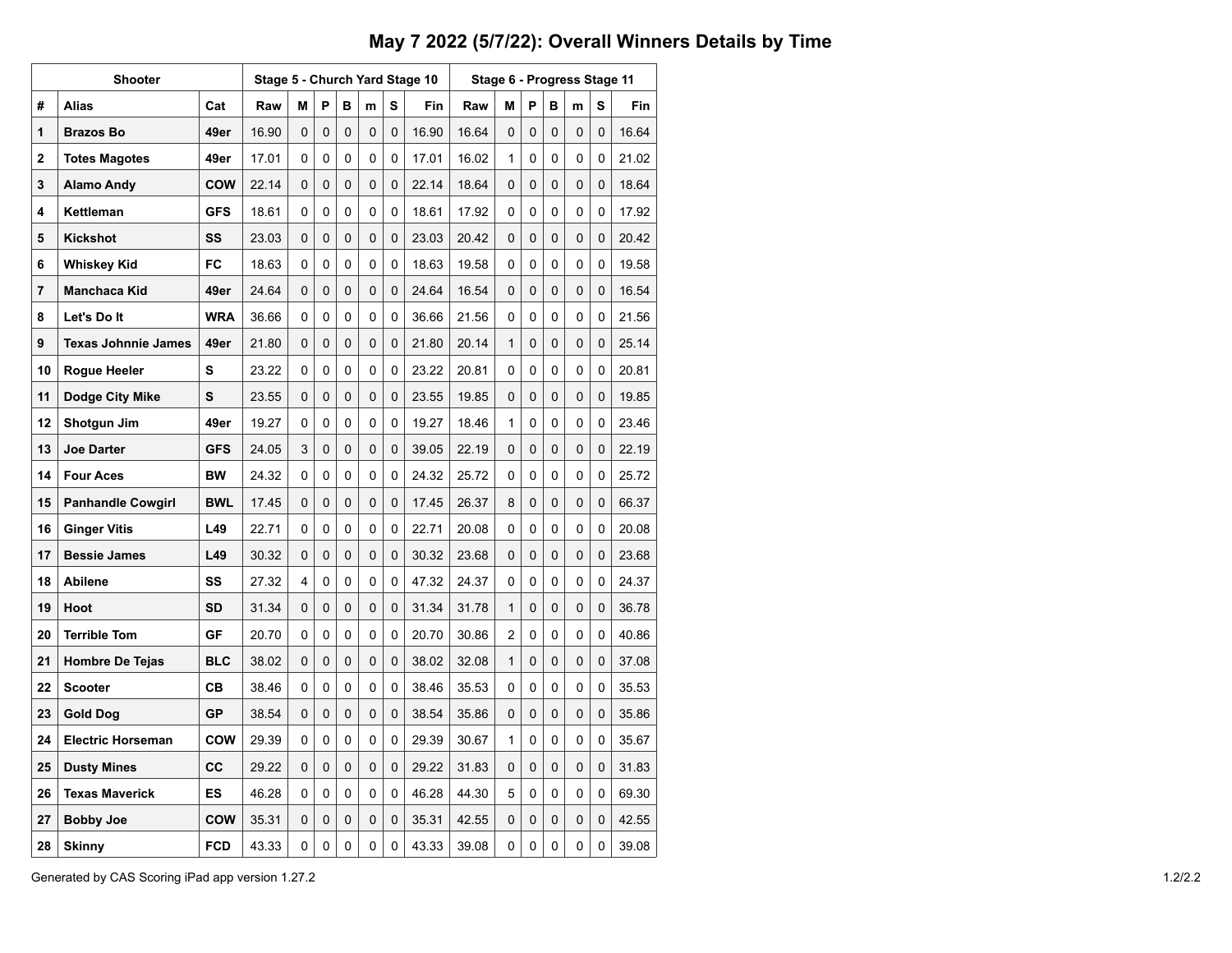## **May 7 2022 (5/7/22): Overall Winners Details by Time**

|    | <b>Shooter</b>             |            |       |          |          |   |          | Stage 5 - Church Yard Stage 10 | Stage 6 - Progress Stage 11 |       |          |   |   |          |   |       |  |
|----|----------------------------|------------|-------|----------|----------|---|----------|--------------------------------|-----------------------------|-------|----------|---|---|----------|---|-------|--|
| #  | <b>Alias</b>               | Cat        | Raw   | М        | P        | в | m        | S                              | Fin                         | Raw   | M        | P | в | m        | s | Fin   |  |
| 1  | <b>Brazos Bo</b>           | 49er       | 16.90 | 0        | $\Omega$ | 0 | 0        | 0                              | 16.90                       | 16.64 | 0        | 0 | 0 | 0        | 0 | 16.64 |  |
| 2  | <b>Totes Magotes</b>       | 49er       | 17.01 | 0        | 0        | 0 | 0        | 0                              | 17.01                       | 16.02 | 1        | 0 | 0 | 0        | 0 | 21.02 |  |
| 3  | <b>Alamo Andy</b>          | <b>COW</b> | 22.14 | 0        | 0        | 0 | 0        | 0                              | 22.14                       | 18.64 | 0        | 0 | 0 | 0        | 0 | 18.64 |  |
| 4  | Kettleman                  | <b>GFS</b> | 18.61 | 0        | 0        | 0 | 0        | 0                              | 18.61                       | 17.92 | 0        | 0 | 0 | 0        | 0 | 17.92 |  |
| 5  | <b>Kickshot</b>            | SS         | 23.03 | 0        | 0        | 0 | 0        | 0                              | 23.03                       | 20.42 | 0        | 0 | 0 | 0        | 0 | 20.42 |  |
| 6  | <b>Whiskey Kid</b>         | FC         | 18.63 | 0        | 0        | 0 | 0        | $\mathbf{0}$                   | 18.63                       | 19.58 | 0        | 0 | 0 | 0        | 0 | 19.58 |  |
| 7  | Manchaca Kid               | 49er       | 24.64 | 0        | 0        | 0 | 0        | 0                              | 24.64                       | 16.54 | 0        | 0 | 0 | 0        | 0 | 16.54 |  |
| 8  | Let's Do It                | <b>WRA</b> | 36.66 | 0        | 0        | 0 | 0        | 0                              | 36.66                       | 21.56 | 0        | 0 | 0 | 0        | 0 | 21.56 |  |
| 9  | <b>Texas Johnnie James</b> | 49er       | 21.80 | 0        | 0        | 0 | 0        | 0                              | 21.80                       | 20.14 | 1        | 0 | 0 | 0        | 0 | 25.14 |  |
| 10 | <b>Rogue Heeler</b>        | s          | 23.22 | 0        | 0        | 0 | 0        | 0                              | 23.22                       | 20.81 | 0        | 0 | 0 | 0        | 0 | 20.81 |  |
| 11 | Dodge City Mike            | S          | 23.55 | 0        | 0        | 0 | 0        | 0                              | 23.55                       | 19.85 | 0        | 0 | 0 | 0        | 0 | 19.85 |  |
| 12 | Shotgun Jim                | 49er       | 19.27 | 0        | 0        | 0 | 0        | 0                              | 19.27                       | 18.46 | 1        | 0 | 0 | 0        | 0 | 23.46 |  |
| 13 | <b>Joe Darter</b>          | <b>GFS</b> | 24.05 | 3        | 0        | 0 | 0        | 0                              | 39.05                       | 22.19 | 0        | 0 | 0 | 0        | 0 | 22.19 |  |
| 14 | <b>Four Aces</b>           | <b>BW</b>  | 24.32 | 0        | 0        | 0 | 0        | 0                              | 24.32                       | 25.72 | 0        | 0 | 0 | 0        | 0 | 25.72 |  |
| 15 | <b>Panhandle Cowgirl</b>   | <b>BWL</b> | 17.45 | 0        | 0        | 0 | 0        | 0                              | 17.45                       | 26.37 | 8        | 0 | 0 | 0        | 0 | 66.37 |  |
| 16 | <b>Ginger Vitis</b>        | L49        | 22.71 | 0        | 0        | 0 | 0        | 0                              | 22.71                       | 20.08 | 0        | 0 | 0 | 0        | 0 | 20.08 |  |
| 17 | <b>Bessie James</b>        | L49        | 30.32 | 0        | $\Omega$ | 0 | 0        | 0                              | 30.32                       | 23.68 | 0        | 0 | 0 | $\Omega$ | 0 | 23.68 |  |
| 18 | <b>Abilene</b>             | SS         | 27.32 | 4        | 0        | 0 | 0        | 0                              | 47.32                       | 24.37 | 0        | 0 | 0 | 0        | 0 | 24.37 |  |
| 19 | Hoot                       | <b>SD</b>  | 31.34 | 0        | 0        | 0 | 0        | 0                              | 31.34                       | 31.78 | 1        | 0 | 0 | 0        | 0 | 36.78 |  |
| 20 | <b>Terrible Tom</b>        | GF         | 20.70 | 0        | 0        | 0 | 0        | 0                              | 20.70                       | 30.86 | 2        | 0 | 0 | 0        | 0 | 40.86 |  |
| 21 | <b>Hombre De Tejas</b>     | <b>BLC</b> | 38.02 | $\Omega$ | $\Omega$ | 0 | $\Omega$ | 0                              | 38.02                       | 32.08 | 1        | 0 | 0 | 0        | 0 | 37.08 |  |
| 22 | <b>Scooter</b>             | CВ         | 38.46 | 0        | 0        | 0 | 0        | $\mathbf{0}$                   | 38.46                       | 35.53 | $\Omega$ | 0 | 0 | 0        | 0 | 35.53 |  |
| 23 | Gold Dog                   | GP         | 38.54 | 0        | 0        | 0 | 0        | 0                              | 38.54                       | 35.86 | 0        | 0 | 0 | 0        | 0 | 35.86 |  |
| 24 | <b>Electric Horseman</b>   | <b>COW</b> | 29.39 | 0        | 0        | 0 | 0        | 0                              | 29.39                       | 30.67 | 1        | 0 | 0 | 0        | 0 | 35.67 |  |
| 25 | <b>Dusty Mines</b>         | CС         | 29.22 | 0        | 0        | 0 | 0        | 0                              | 29.22                       | 31.83 | 0        | 0 | 0 | 0        | 0 | 31.83 |  |
| 26 | <b>Texas Maverick</b>      | ES         | 46.28 | 0        | 0        | 0 | 0        | 0                              | 46.28                       | 44.30 | 5        | 0 | 0 | 0        | 0 | 69.30 |  |
| 27 | <b>Bobby Joe</b>           | <b>COW</b> | 35.31 | 0        | $\Omega$ | 0 | 0        | 0                              | 35.31                       | 42.55 | 0        | 0 | 0 | 0        | 0 | 42.55 |  |
| 28 | <b>Skinny</b>              | <b>FCD</b> | 43.33 | 0        | 0        | 0 | 0        | 0                              | 43.33                       | 39.08 | 0        | 0 | 0 | 0        | 0 | 39.08 |  |

Generated by CAS Scoring iPad app version 1.27.2 1.2/2.2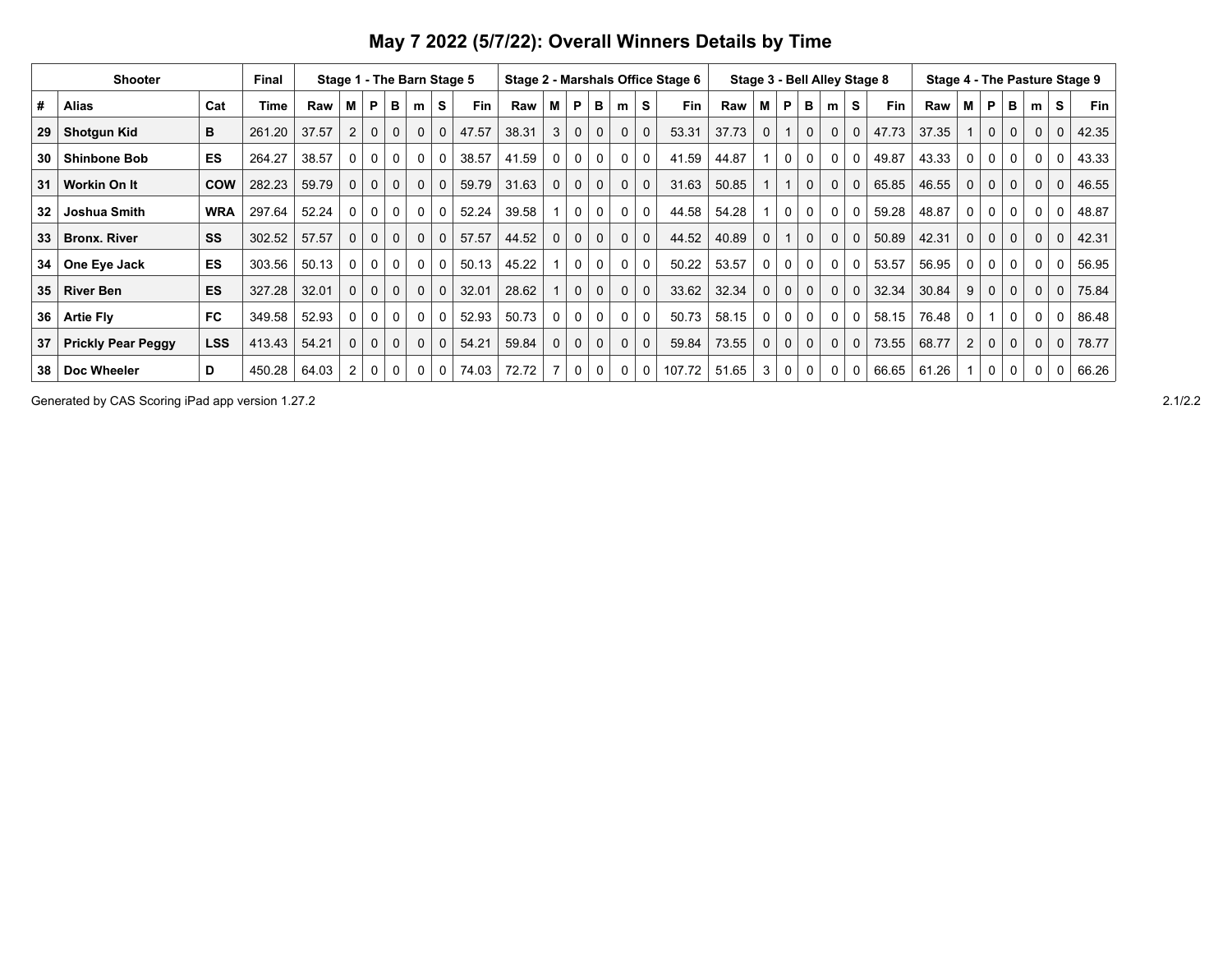| <b>Shooter</b><br>Final |                           |            |        | Stage 1 - The Barn Stage 5 |                |             |              |              |              |       | Stage 2 - Marshals Office Stage 6 |              |   |             |             |             |        | Stage 3 - Bell Alley Stage 8 | Stage 4 - The Pasture Stage 9 |             |              |              |              |       |       |                |              |          |              |          |            |
|-------------------------|---------------------------|------------|--------|----------------------------|----------------|-------------|--------------|--------------|--------------|-------|-----------------------------------|--------------|---|-------------|-------------|-------------|--------|------------------------------|-------------------------------|-------------|--------------|--------------|--------------|-------|-------|----------------|--------------|----------|--------------|----------|------------|
| #                       | <b>Alias</b>              | Cat        | Time   | Raw                        | М              | <b>P</b>    | в            | m            | s            | Fin   | Raw                               | м            | P | в           | m           | s           | Fin    | Raw                          | м                             | P           | в            | m            | S            | Fin   | Raw   | М              | P            | в        | m            | s        | <b>Fin</b> |
| 29                      | <b>Shotgun Kid</b>        | в          | 261.20 | 37.57                      | $\overline{2}$ | $\Omega$    | $\Omega$     | $\Omega$     | $\Omega$     | 47.57 | 38.31                             | 3            | 0 | $\mathbf 0$ | $\mathbf 0$ | $\mathbf 0$ | 53.31  | 37.73                        | 0                             |             | $\mathbf{0}$ | $\mathbf 0$  | $\mathbf 0$  | 47.73 | 37.35 |                | $\Omega$     | $\Omega$ | $\Omega$     | $\Omega$ | 42.35      |
| 30                      | <b>Shinbone Bob</b>       | <b>ES</b>  | 264.27 | 38.57                      | 0              | 0           | 0            | $\Omega$     | $\mathbf{0}$ | 38.57 | 41.59                             | 0            | 0 | 0           | 0           | $\mathbf 0$ | 41.59  | 44.87                        |                               | 0           | $\Omega$     | $\mathbf{0}$ | 0            | 49.87 | 43.33 | 0              | $\Omega$     | $\Omega$ | $\Omega$     | 0        | 43.33      |
| 31                      | Workin On It              | <b>COW</b> | 282.23 | 59.79                      | 0              | $\mathbf 0$ | $\Omega$     | $\Omega$     | $\Omega$     | 59.79 | 31.63                             | $\mathbf{0}$ | 0 | $\mathbf 0$ | 0           | $\mathbf 0$ | 31.63  | 50.85                        |                               |             |              | $\mathbf 0$  | $\mathbf{0}$ | 65.85 | 46.55 | $\Omega$       | $\Omega$     | 0        | $\Omega$     | $\Omega$ | 46.55      |
| 32                      | Joshua Smith              | <b>WRA</b> | 297.64 | 52.24                      | 0              | 0           | 0            | 0            | $\Omega$     | 52.24 | 39.58                             |              | 0 | $\Omega$    | 0           | $\mathbf 0$ | 44.58  | 54.28                        |                               | $\Omega$    | 0            | 0            | $\mathbf{0}$ | 59.28 | 48.87 | 0              | $\Omega$     | 0        | 0            | 0        | 48.87      |
| 33                      | <b>Bronx. River</b>       | SS         | 302.52 | 57.57                      | 0              | $\mathbf 0$ | $\Omega$     | $\Omega$     | $\Omega$     | 57.57 | 44.52                             | $\mathbf 0$  | 0 | $\mathbf 0$ | 0           | $\mathbf 0$ | 44.52  | 40.89                        |                               |             |              | $\mathbf 0$  | $\mathbf{0}$ | 50.89 | 42.31 | $\Omega$       | $\Omega$     | 0        | $\Omega$     | $\Omega$ | 42.31      |
| 34                      | One Eye Jack              | ES         | 303.56 | 50.13                      | 0              | 0           | $\Omega$     | $\Omega$     |              | 50.13 | 45.22                             |              | 0 | 0           | 0           | $\mathbf 0$ | 50.22  | 53.57                        | 0                             | $\Omega$    | 0            | $\mathbf{0}$ | 0            | 53.57 | 56.95 | 0              | 0            | 0        | $\Omega$     | 0        | 56.95      |
| 35                      | <b>River Ben</b>          | ES         | 327.28 | 32.01                      | 0              | $\mathbf 0$ | $\mathbf{0}$ | $\Omega$     | $\Omega$     | 32.01 | 28.62                             |              | 0 | $\mathbf 0$ | 0           | $\mathbf 0$ | 33.62  | 32.34                        |                               | $\mathbf 0$ | $\mathbf 0$  | $\mathbf 0$  | $\mathbf 0$  | 32.34 | 30.84 |                | $\mathbf{0}$ | 0        | $\mathbf 0$  | $\Omega$ | 75.84      |
| 36                      | <b>Artie Fly</b>          | <b>FC</b>  | 349.58 | 52.93                      | 0              | 0           | 0            | $\mathbf{0}$ | $\Omega$     | 52.93 | 50.73                             | 0            | 0 | 0           | 0           | $\mathbf 0$ | 50.73  | 58.15                        | 0                             | $\mathbf 0$ | $\mathbf 0$  | 0            | 0            | 58.15 | 76.48 | 0              |              | $\Omega$ | $\Omega$     | 0        | 86.48      |
| 37                      | <b>Prickly Pear Peggy</b> | <b>LSS</b> | 413.43 | 54.21                      | $\Omega$       | $\Omega$    | $\Omega$     | $\Omega$     | $\Omega$     | 54.21 | 59.84                             | $\mathbf{0}$ | 0 | $\mathbf 0$ | 0           | $\Omega$    | 59.84  | 73.55                        | $\mathbf 0$                   | $\mathbf 0$ | $\mathbf 0$  | $\mathbf 0$  | $\mathbf 0$  | 73.55 | 68.77 | $\overline{2}$ | $\Omega$     | 0        | $\mathbf{0}$ | $\Omega$ | 78.77      |
| 38                      | Doc Wheeler               | D          | 450.28 | 64.03                      | $\overline{2}$ |             | 0            | $\mathbf{0}$ | $\mathbf{0}$ | 74.03 | 72.72                             |              | 0 | 0           | 0           | 0           | 107.72 | 51.65                        | 3                             | 0           | 0            | 0            | 0            | 66.65 | 61.26 |                | 0            | 0        | 0            | 0        | 66.26      |

**May 7 2022 (5/7/22): Overall Winners Details by Time**

Generated by CAS Scoring iPad app version 1.27.2 2.1/2.2